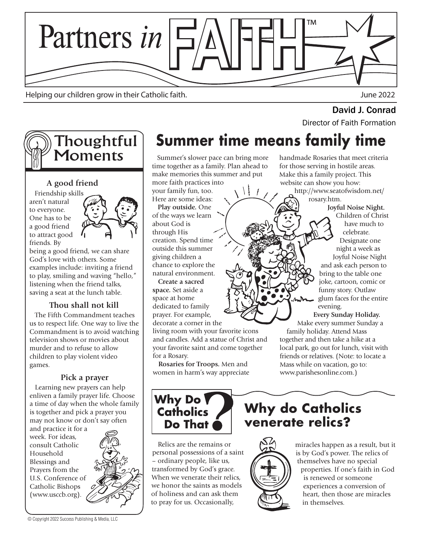

Helping our children grow in their Catholic faith. June 2022

# David J. Conrad<br>Director of Faith Formation

## **Thoughtful Moments**

#### **A good friend**

 Friendship skills aren't natural to everyone. One has to be a good friend to attract good friends. By



being a good friend, we can share God's love with others. Some examples include: inviting a friend to play, smiling and waving "hello," listening when the friend talks, saving a seat at the lunch table.

#### **Thou shall not kill**

 The Fifth Commandment teaches us to respect life. One way to live the Commandment is to avoid watching television shows or movies about murder and to refuse to allow children to play violent video games.

#### **Pick a prayer**

 Learning new prayers can help enliven a family prayer life. Choose a time of day when the whole family is together and pick a prayer you may not know or don't say often

and practice it for a week. For ideas, consult Catholic Household Blessings and Prayers from the U.S. Conference of Catholic Bishops (www.usccb.org).

© Copyright 2022 Success Publishing & Media, LLC

# **Summer time means family time**

 Summer's slower pace can bring more time together as a family. Plan ahead to make memories this summer and put more faith practices into  $\mathcal{L}$ 

your family fun, too. Here are some ideas:

 **Play outside.** One of the ways we learn about God is through His creation. Spend time outside this summer giving children a chance to explore the natural environment.

 **Create a sacred space.** Set aside a space at home dedicated to family prayer. For example, decorate a corner in the

living room with your favorite icons and candles. Add a statue of Christ and your favorite saint and come together for a Rosary.

 **Rosaries for Troops.** Men and women in harm's way appreciate handmade Rosaries that meet criteria for those serving in hostile areas. Make this a family project. This website can show you how:

http://www.seatofwisdom.net/ rosary.htm.

> **Joyful Noise Night.**  Children of Christ have much to celebrate. Designate one night a week as Joyful Noise Night and ask each person to bring to the table one joke, cartoon, comic or funny story. Outlaw glum faces for the entire evening.

 **Every Sunday Holiday.** Make every summer Sunday a

family holiday. Attend Mass together and then take a hike at a local park, go out for lunch, visit with friends or relatives. (Note: to locate a Mass while on vacation, go to: www.parishesonline.com.)



 Relics are the remains or personal possessions of a saint – ordinary people, like us, transformed by God's grace. When we venerate their relics. we honor the saints as models of holiness and can ask them to pray for us. Occasionally,

### **Why do Catholics venerate relics?**



miracles happen as a result, but it is by God's power. The relics of themselves have no special properties. If one's faith in God is renewed or someone experiences a conversion of heart, then those are miracles in themselves.